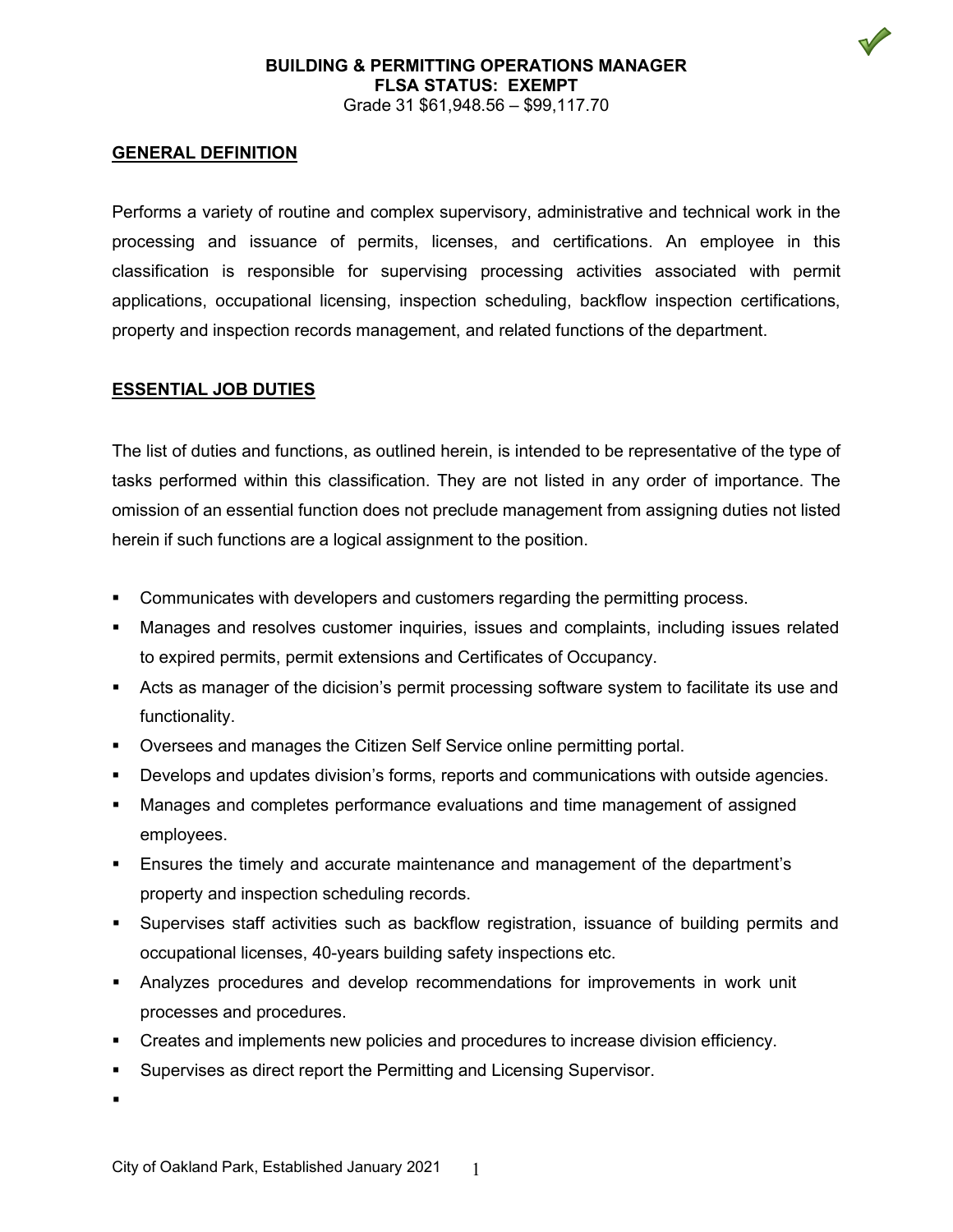#### **BUILDING & PERMITTING OPERATIONS MANAGER FLSA STATUS: EXEMPT** Grade 31 \$61,948.56 – \$99,117.70

#### **GENERAL DEFINITION**

Performs a variety of routine and complex supervisory, administrative and technical work in the processing and issuance of permits, licenses, and certifications. An employee in this classification is responsible for supervising processing activities associated with permit applications, occupational licensing, inspection scheduling, backflow inspection certifications, property and inspection records management, and related functions of the department.

#### **ESSENTIAL JOB DUTIES**

The list of duties and functions, as outlined herein, is intended to be representative of the type of tasks performed within this classification. They are not listed in any order of importance. The omission of an essential function does not preclude management from assigning duties not listed herein if such functions are a logical assignment to the position.

- Communicates with developers and customers regarding the permitting process.
- Manages and resolves customer inquiries, issues and complaints, including issues related to expired permits, permit extensions and Certificates of Occupancy.
- Acts as manager of the dicision's permit processing software system to facilitate its use and functionality.
- Oversees and manages the Citizen Self Service online permitting portal.
- Develops and updates division's forms, reports and communications with outside agencies.
- Manages and completes performance evaluations and time management of assigned employees.
- **Ensures the timely and accurate maintenance and management of the department's** property and inspection scheduling records.
- Supervises staff activities such as backflow registration, issuance of building permits and occupational licenses, 40-years building safety inspections etc.
- Analyzes procedures and develop recommendations for improvements in work unit processes and procedures.
- **Creates and implements new policies and procedures to increase division efficiency.**
- **Supervises as direct report the Permitting and Licensing Supervisor.**

 $\blacksquare$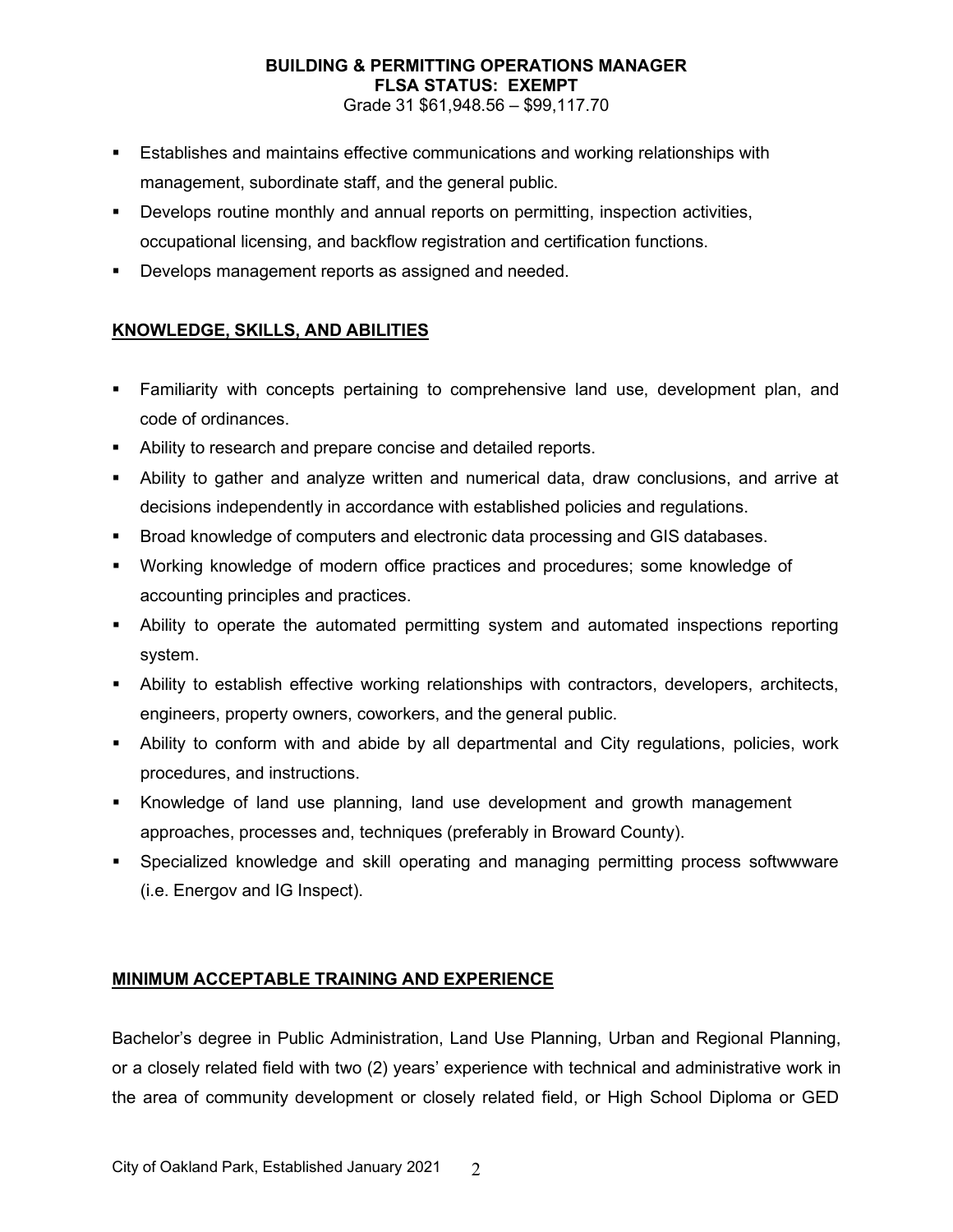# **BUILDING & PERMITTING OPERATIONS MANAGER FLSA STATUS: EXEMPT**

Grade 31 \$61,948.56 – \$99,117.70

- Establishes and maintains effective communications and working relationships with management, subordinate staff, and the general public.
- Develops routine monthly and annual reports on permitting, inspection activities, occupational licensing, and backflow registration and certification functions.
- Develops management reports as assigned and needed.

## **KNOWLEDGE, SKILLS, AND ABILITIES**

- Familiarity with concepts pertaining to comprehensive land use, development plan, and code of ordinances.
- Ability to research and prepare concise and detailed reports.
- Ability to gather and analyze written and numerical data, draw conclusions, and arrive at decisions independently in accordance with established policies and regulations.
- **Broad knowledge of computers and electronic data processing and GIS databases.**
- Working knowledge of modern office practices and procedures; some knowledge of accounting principles and practices.
- Ability to operate the automated permitting system and automated inspections reporting system.
- Ability to establish effective working relationships with contractors, developers, architects, engineers, property owners, coworkers, and the general public.
- Ability to conform with and abide by all departmental and City regulations, policies, work procedures, and instructions.
- Knowledge of land use planning, land use development and growth management approaches, processes and, techniques (preferably in Broward County).
- Specialized knowledge and skill operating and managing permitting process softwwware (i.e. Energov and IG Inspect).

## **MINIMUM ACCEPTABLE TRAINING AND EXPERIENCE**

Bachelor's degree in Public Administration, Land Use Planning, Urban and Regional Planning, or a closely related field with two (2) years' experience with technical and administrative work in the area of community development or closely related field, or High School Diploma or GED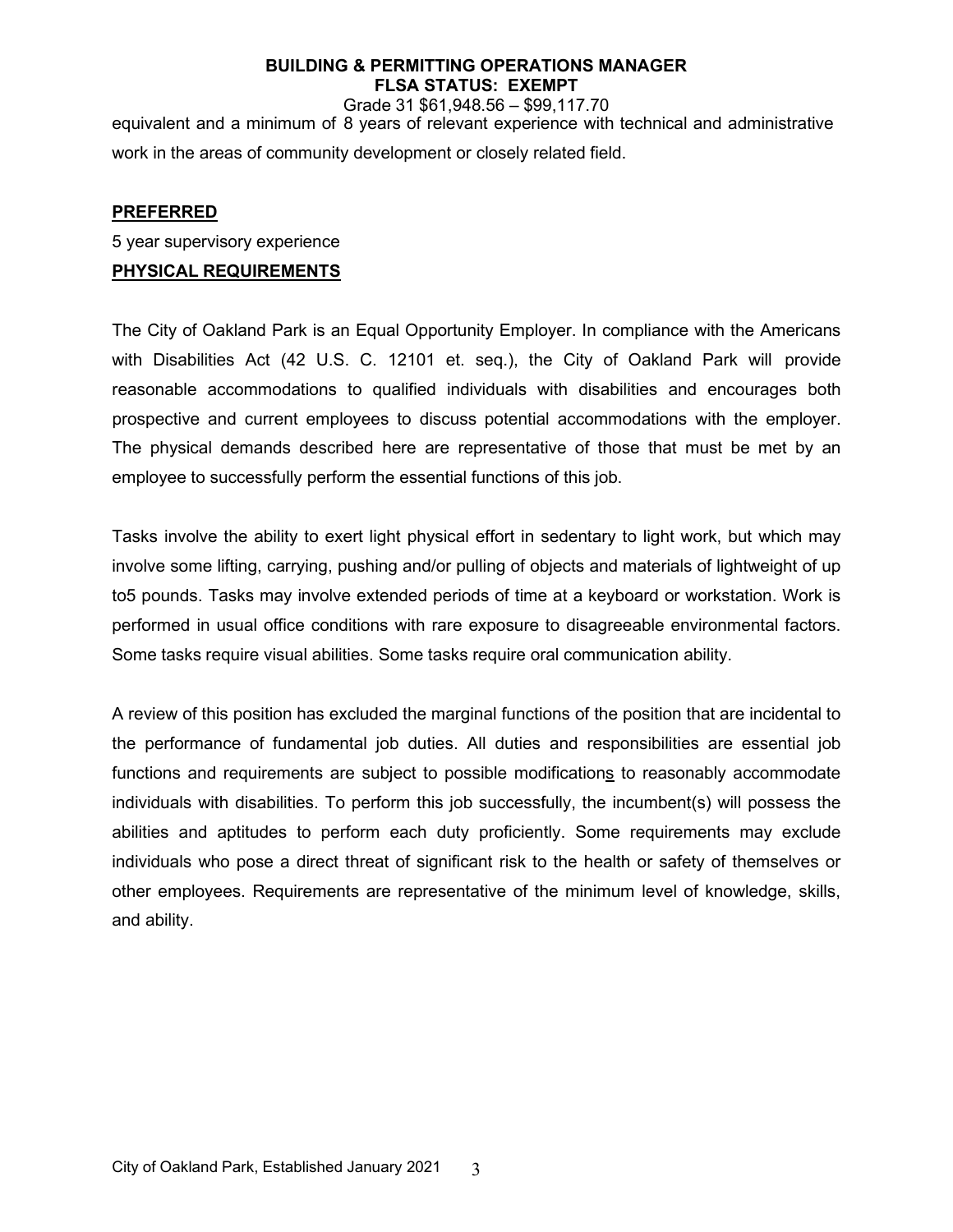## **BUILDING & PERMITTING OPERATIONS MANAGER FLSA STATUS: EXEMPT**

Grade 31 \$61,948.56 – \$99,117.70 equivalent and a minimum of 8 years of relevant experience with technical and administrative work in the areas of community development or closely related field.

## **PREFERRED**

5 year supervisory experience

#### **PHYSICAL REQUIREMENTS**

The City of Oakland Park is an Equal Opportunity Employer. In compliance with the Americans with Disabilities Act (42 U.S. C. 12101 et. seq.), the City of Oakland Park will provide reasonable accommodations to qualified individuals with disabilities and encourages both prospective and current employees to discuss potential accommodations with the employer. The physical demands described here are representative of those that must be met by an employee to successfully perform the essential functions of this job.

Tasks involve the ability to exert light physical effort in sedentary to light work, but which may involve some lifting, carrying, pushing and/or pulling of objects and materials of lightweight of up to5 pounds. Tasks may involve extended periods of time at a keyboard or workstation. Work is performed in usual office conditions with rare exposure to disagreeable environmental factors. Some tasks require visual abilities. Some tasks require oral communication ability.

A review of this position has excluded the marginal functions of the position that are incidental to the performance of fundamental job duties. All duties and responsibilities are essential job functions and requirements are subject to possible modifications to reasonably accommodate individuals with disabilities. To perform this job successfully, the incumbent(s) will possess the abilities and aptitudes to perform each duty proficiently. Some requirements may exclude individuals who pose a direct threat of significant risk to the health or safety of themselves or other employees. Requirements are representative of the minimum level of knowledge, skills, and ability.